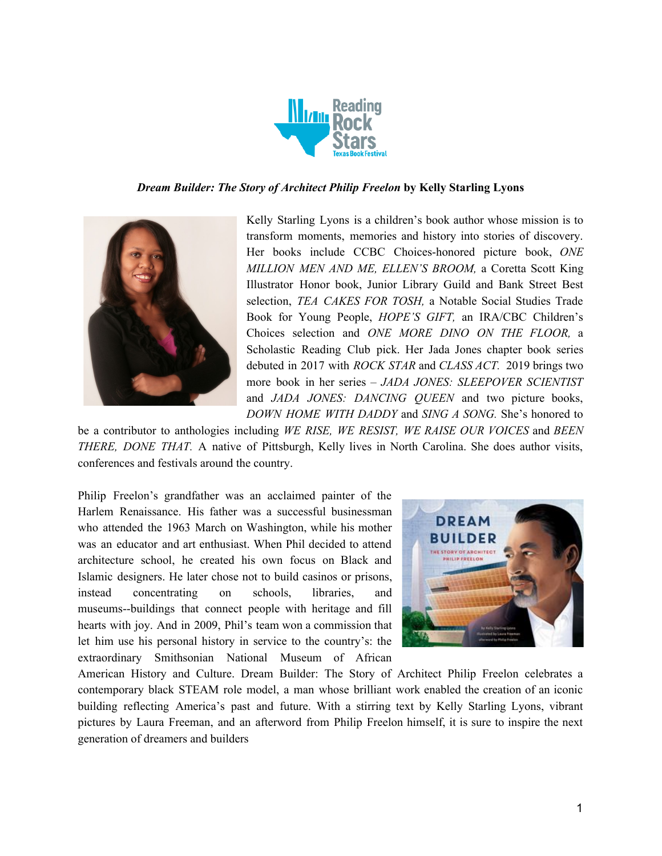

### *Dream Builder: The Story of Architect Philip Freelon* **by Kelly Starling Lyons**



Kelly Starling Lyons is a children's book author whose mission is to transform moments, memories and history into stories of discovery. Her books include CCBC Choices-honored picture book, *ONE MILLION MEN AND ME, ELLEN'S BROOM,* a Coretta Scott King Illustrator Honor book, Junior Library Guild and Bank Street Best selection, *TEA CAKES FOR TOSH,* a Notable Social Studies Trade Book for Young People, *HOPE'S GIFT,* an IRA/CBC Children's Choices selection and *ONE MORE DINO ON THE FLOOR,* a Scholastic Reading Club pick. Her Jada Jones chapter book series debuted in 2017 with *ROCK STAR* and *CLASS ACT.* 2019 brings two more book in her series – *JADA JONES: SLEEPOVER SCIENTIST* and *JADA JONES: DANCING QUEEN* and two picture books, *DOWN HOME WITH DADDY* and *SING A SONG.* She's honored to

be a contributor to anthologies including *WE RISE, WE RESIST, WE RAISE OUR VOICES* and *BEEN THERE, DONE THAT.* A native of Pittsburgh, Kelly lives in North Carolina. She does author visits, conferences and festivals around the country.

Philip Freelon's grandfather was an acclaimed painter of the Harlem Renaissance. His father was a successful businessman who attended the 1963 March on Washington, while his mother was an educator and art enthusiast. When Phil decided to attend architecture school, he created his own focus on Black and Islamic designers. He later chose not to build casinos or prisons, instead concentrating on schools, libraries, and museums--buildings that connect people with heritage and fill hearts with joy. And in 2009, Phil's team won a commission that let him use his personal history in service to the country's: the extraordinary Smithsonian National Museum of African



American History and Culture. Dream Builder: The Story of Architect Philip Freelon celebrates a contemporary black STEAM role model, a man whose brilliant work enabled the creation of an iconic building reflecting America's past and future. With a stirring text by Kelly Starling Lyons, vibrant pictures by Laura Freeman, and an afterword from Philip Freelon himself, it is sure to inspire the next generation of dreamers and builders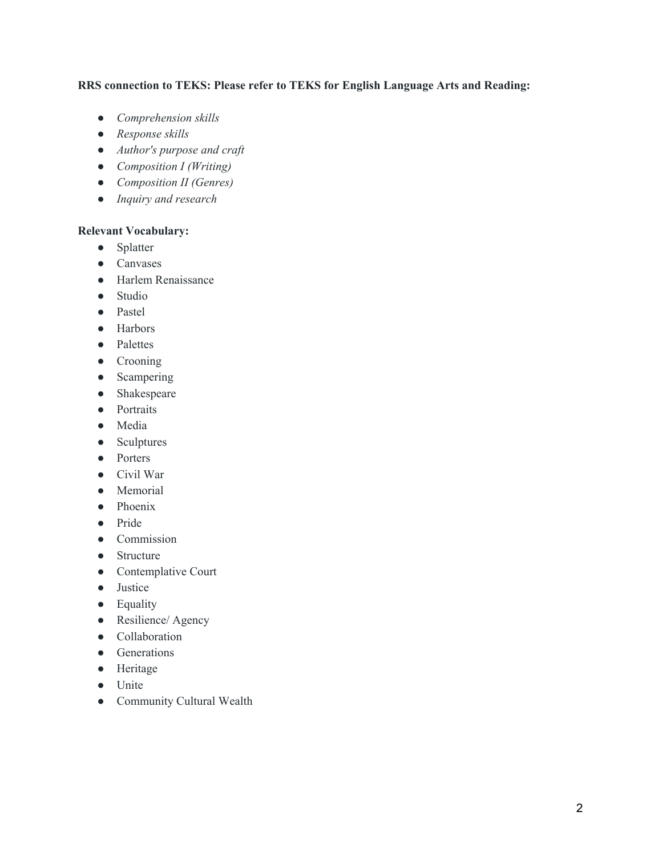#### **RRS connection to TEKS: Please refer to TEKS for English Language Arts and Reading:**

- *● Comprehension skills*
- *● Response skills*
- *● Author's purpose and craft*
- *● Composition I (Writing)*
- *● Composition II (Genres)*
- *● Inquiry and research*

#### **Relevant Vocabulary:**

- Splatter
- Canvases
- Harlem Renaissance
- Studio
- Pastel
- Harbors
- Palettes
- Crooning
- Scampering
- Shakespeare
- Portraits
- Media
- Sculptures
- Porters
- Civil War
- Memorial
- Phoenix
- Pride
- Commission
- Structure
- Contemplative Court
- Justice
- Equality
- Resilience/ Agency
- Collaboration
- **•** Generations
- Heritage
- Unite
- Community Cultural Wealth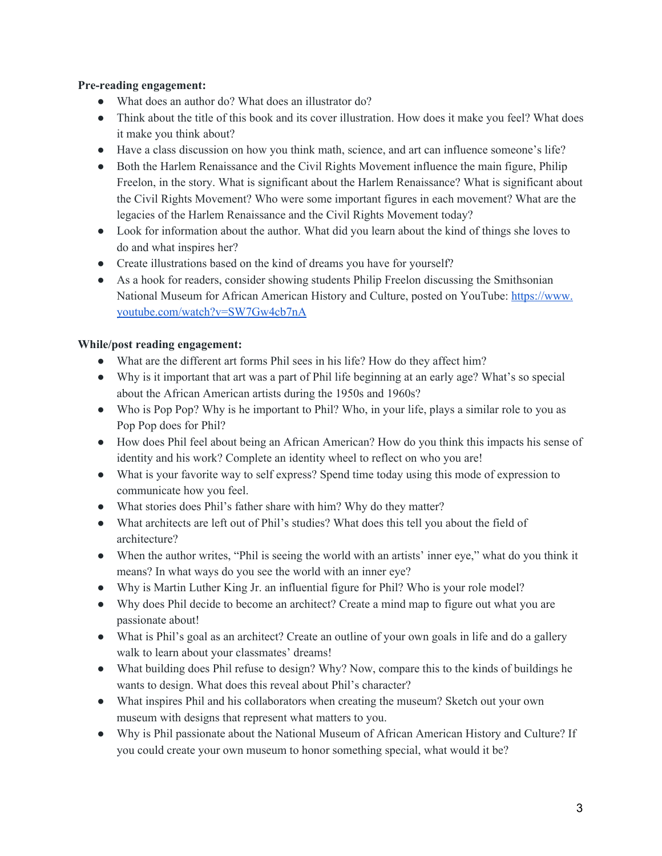## **Pre-reading engagement:**

- What does an author do? What does an illustrator do?
- Think about the title of this book and its cover illustration. How does it make you feel? What does it make you think about?
- Have a class discussion on how you think math, science, and art can influence someone's life?
- Both the Harlem Renaissance and the Civil Rights Movement influence the main figure, Philip Freelon, in the story. What is significant about the Harlem Renaissance? What is significant about the Civil Rights Movement? Who were some important figures in each movement? What are the legacies of the Harlem Renaissance and the Civil Rights Movement today?
- Look for information about the author. What did you learn about the kind of things she loves to do and what inspires her?
- Create illustrations based on the kind of dreams you have for yourself?
- As a hook for readers, consider showing students Philip Freelon discussing the Smithsonian National Museum for African American History and Culture, posted on YouTube: [https://www.](https://www./) [youtube.com/watch?v=SW7Gw4cb7nA](https://www./)

# **While/post reading engagement:**

- What are the different art forms Phil sees in his life? How do they affect him?
- Why is it important that art was a part of Phil life beginning at an early age? What's so special about the African American artists during the 1950s and 1960s?
- Who is Pop Pop? Why is he important to Phil? Who, in your life, plays a similar role to you as Pop Pop does for Phil?
- How does Phil feel about being an African American? How do you think this impacts his sense of identity and his work? Complete an identity wheel to reflect on who you are!
- What is your favorite way to self express? Spend time today using this mode of expression to communicate how you feel.
- What stories does Phil's father share with him? Why do they matter?
- What architects are left out of Phil's studies? What does this tell you about the field of architecture?
- When the author writes, "Phil is seeing the world with an artists' inner eye," what do you think it means? In what ways do you see the world with an inner eye?
- Why is Martin Luther King Jr. an influential figure for Phil? Who is your role model?
- Why does Phil decide to become an architect? Create a mind map to figure out what you are passionate about!
- What is Phil's goal as an architect? Create an outline of your own goals in life and do a gallery walk to learn about your classmates' dreams!
- What building does Phil refuse to design? Why? Now, compare this to the kinds of buildings he wants to design. What does this reveal about Phil's character?
- What inspires Phil and his collaborators when creating the museum? Sketch out your own museum with designs that represent what matters to you.
- Why is Phil passionate about the National Museum of African American History and Culture? If you could create your own museum to honor something special, what would it be?